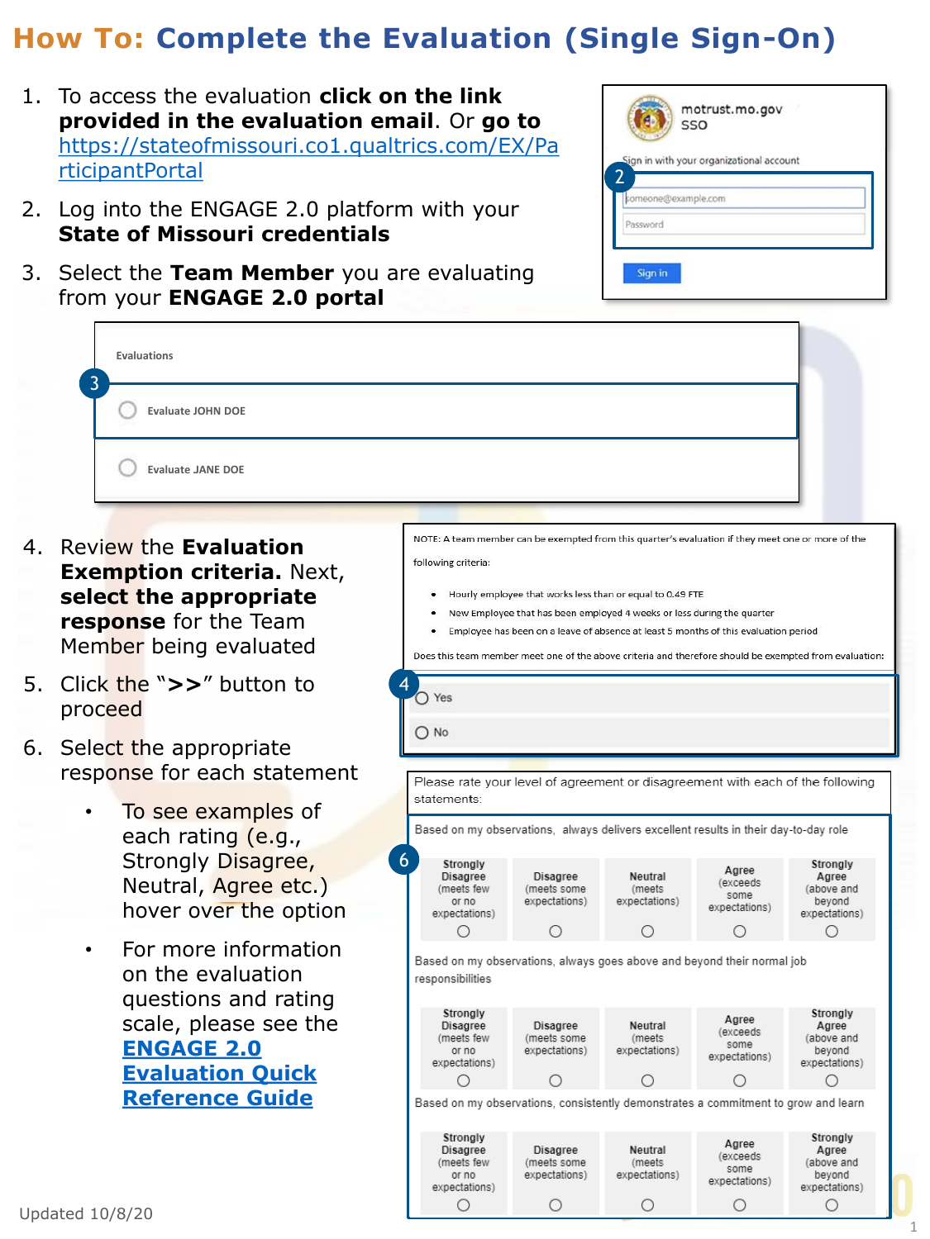## **How To: Complete the Evaluation (Single Sign-On)**

- 1. To access the evaluation **click on the link provided in the evaluation email**. Or **go to** [https://stateofmissouri.co1.qualtrics.com/EX/Pa](https://stateofmissouri.co1.qualtrics.com/EX/ParticipantPortal) rticipantPortal
- 2. Log into the ENGAGE 2.0 platform with your **State of Missouri credentials**
- 3. Select the **Team Member** you are evaluating from your **ENGAGE 2.0 portal**

|          | SSO<br>Sign in with your organizational account |  |
|----------|-------------------------------------------------|--|
|          | someone@example.com                             |  |
| Password |                                                 |  |

| 3                                                                                                                                                                                                                                                                                                                                                                                                                                                                                                                                                                                                                        |                                                                 |  |  |  |
|--------------------------------------------------------------------------------------------------------------------------------------------------------------------------------------------------------------------------------------------------------------------------------------------------------------------------------------------------------------------------------------------------------------------------------------------------------------------------------------------------------------------------------------------------------------------------------------------------------------------------|-----------------------------------------------------------------|--|--|--|
| <b>Evaluate JOHN DOE</b>                                                                                                                                                                                                                                                                                                                                                                                                                                                                                                                                                                                                 |                                                                 |  |  |  |
| <b>Evaluate JANE DOE</b>                                                                                                                                                                                                                                                                                                                                                                                                                                                                                                                                                                                                 |                                                                 |  |  |  |
| NOTE: A team member can be exempted from this quarter's evaluation if they meet one or more of the<br>Review the <b>Evaluation</b><br>4.<br>following criteria:<br><b>Exemption criteria. Next,</b><br>select the appropriate<br>Hourly employee that works less than or equal to 0.49 FTE<br>New Employee that has been employed 4 weeks or less during the quarter<br>response for the Team<br>Employee has been on a leave of absence at least 5 months of this evaluation period<br>Member being evaluated<br>Does this team member meet one of the above criteria and therefore should be exempted from evaluation: |                                                                 |  |  |  |
| 5.<br>Click the ">>" button to<br>$\bigcap$ Yes<br>proceed                                                                                                                                                                                                                                                                                                                                                                                                                                                                                                                                                               |                                                                 |  |  |  |
| $\bigcap$ No<br>6.<br>Select the appropriate<br>response for each statement<br>Please rate your level of agreement or disagreement with each of the following<br>statements:<br>To see examples of<br>Based on my observations, always delivers excellent results in their day-to-day role                                                                                                                                                                                                                                                                                                                               |                                                                 |  |  |  |
| each rating (e.g.,<br>Strongly Disagree,<br>6<br>Strongly<br>Agree<br>Neutral<br>Disagree<br>Disagree<br>Neutral, Agree etc.)<br>(exceeds)<br>(meets few<br>(meets some<br>(meets<br>some<br>expectations)<br>expectations)<br>or no<br>hover over the option<br>expectations)<br>expectations)<br>O<br>Ο<br>Ο<br>O                                                                                                                                                                                                                                                                                                      | Strongly<br>Agree<br>(above and<br>beyond<br>expectations)<br>O |  |  |  |

• For more information on the evaluation questions and rating scale, please see the **ENGAGE 2.0 [Evaluation Quick](https://engage2.mo.gov/wp-content/uploads/2020/02/3.-ENGAGE-2.0_Evaluation-Quick-Reference-Guide_122419_vF.pdf) Reference Guide**

Based on my observations, always goes above and beyond their normal job responsibilities

|                                                                                    | Strongly<br>Disagree<br>(meets few<br>or no<br>expectations) | Disagree<br>(meets some<br>expectations) | Neutral<br>(meets<br>expectations) | Agree<br>(exceeds<br>some<br>expectations) | Strongly<br>Agree<br>(above and<br>beyond<br>expectations) |  |
|------------------------------------------------------------------------------------|--------------------------------------------------------------|------------------------------------------|------------------------------------|--------------------------------------------|------------------------------------------------------------|--|
|                                                                                    |                                                              |                                          |                                    |                                            |                                                            |  |
| Based on my observations, consistently demonstrates a commitment to grow and learn |                                                              |                                          |                                    |                                            |                                                            |  |